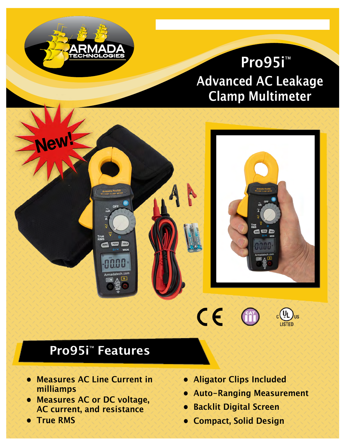# **Pro95i**™ Advanced AC Leakage Clamp Multimeter

**www.armadatech.com • (616) 803-1080** 





TECHNOLOGIES

- **• Measures AC Line Current in milliamps**
- **• Measures AC or DC voltage, AC current, and resistance**
- **• True RMS**

**• Aligator Clips Included**

 $\epsilon$ 

**• Auto-Ranging Measurement**

 $\int_{US}$ 

- **• Backlit Digital Screen**
- **• Compact, Solid Design**